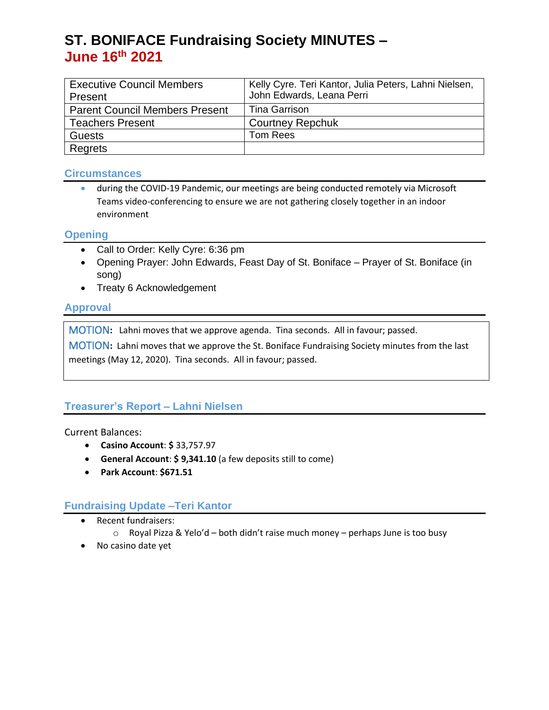# **ST. BONIFACE Fundraising Society MINUTES – June 16 th 2021**

| <b>Executive Council Members</b><br>Present | Kelly Cyre. Teri Kantor, Julia Peters, Lahni Nielsen,<br>John Edwards, Leana Perri |
|---------------------------------------------|------------------------------------------------------------------------------------|
| <b>Parent Council Members Present</b>       | Tina Garrison                                                                      |
| <b>Teachers Present</b>                     | <b>Courtney Repchuk</b>                                                            |
| <b>Guests</b>                               | Tom Rees                                                                           |
| Regrets                                     |                                                                                    |

#### **Circumstances**

• during the COVID-19 Pandemic, our meetings are being conducted remotely via Microsoft Teams video-conferencing to ensure we are not gathering closely together in an indoor environment

#### **Opening**

- Call to Order: Kelly Cyre: 6:36 pm
- Opening Prayer: John Edwards, Feast Day of St. Boniface Prayer of St. Boniface (in song)
- Treaty 6 Acknowledgement

## **Approval**

MOTION**:** Lahni moves that we approve agenda. Tina seconds. All in favour; passed.

MOTION**:** Lahni moves that we approve the St. Boniface Fundraising Society minutes from the last meetings (May 12, 2020). Tina seconds. All in favour; passed.

# **Treasurer's Report – Lahni Nielsen**

Current Balances:

- **Casino Account**: **\$** 33,757.97
- **General Account**: **\$ 9,341.10** (a few deposits still to come)
- **Park Account**: **\$671.51**

## **Fundraising Update –Teri Kantor**

- Recent fundraisers:
	- o Royal Pizza & Yelo'd both didn't raise much money perhaps June is too busy
- No casino date yet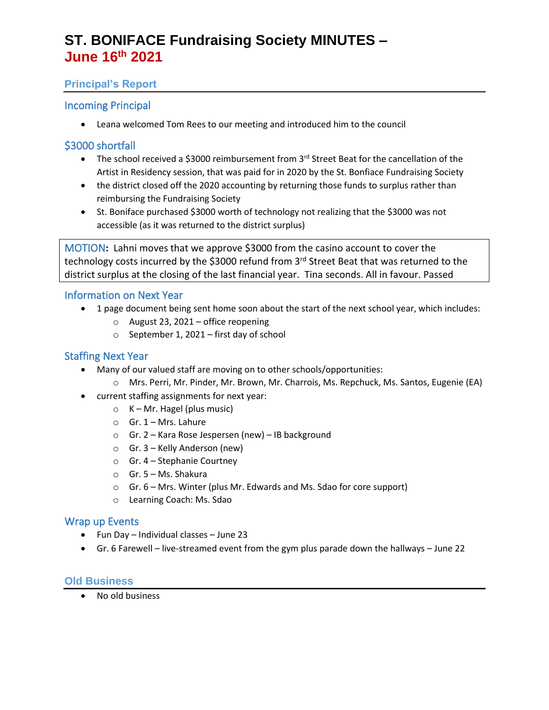# **ST. BONIFACE Fundraising Society MINUTES – June 16 th 2021**

## **Principal's Report**

## Incoming Principal

• Leana welcomed Tom Rees to our meeting and introduced him to the council

## \$3000 shortfall

- The school received a \$3000 reimbursement from 3<sup>rd</sup> Street Beat for the cancellation of the Artist in Residency session, that was paid for in 2020 by the St. Bonfiace Fundraising Society
- the district closed off the 2020 accounting by returning those funds to surplus rather than reimbursing the Fundraising Society
- St. Boniface purchased \$3000 worth of technology not realizing that the \$3000 was not accessible (as it was returned to the district surplus)

MOTION**:** Lahni moves that we approve \$3000 from the casino account to cover the technology costs incurred by the \$3000 refund from 3<sup>rd</sup> Street Beat that was returned to the district surplus at the closing of the last financial year. Tina seconds. All in favour. Passed

#### Information on Next Year

- 1 page document being sent home soon about the start of the next school year, which includes:
	- o August 23, 2021 office reopening
	- o September 1, 2021 first day of school

### Staffing Next Year

- Many of our valued staff are moving on to other schools/opportunities:
	- o Mrs. Perri, Mr. Pinder, Mr. Brown, Mr. Charrois, Ms. Repchuck, Ms. Santos, Eugenie (EA)
- current staffing assignments for next year:
	- $\circ$  K Mr. Hagel (plus music)
	- $O$  Gr. 1 Mrs. Lahure
	- o Gr. 2 Kara Rose Jespersen (new) IB background
	- o Gr. 3 Kelly Anderson (new)
	- o Gr. 4 Stephanie Courtney
	- o Gr. 5 Ms. Shakura
	- o Gr. 6 Mrs. Winter (plus Mr. Edwards and Ms. Sdao for core support)
	- o Learning Coach: Ms. Sdao

#### Wrap up Events

- Fun Day Individual classes June 23
- Gr. 6 Farewell live-streamed event from the gym plus parade down the hallways June 22

#### **Old Business**

• No old business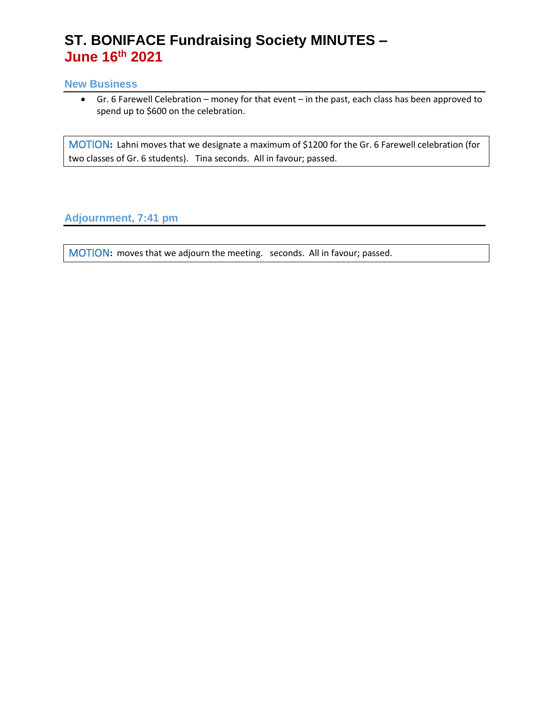# **ST. BONIFACE Fundraising Society MINUTES – June 16 th 2021**

#### **New Business**

• Gr. 6 Farewell Celebration – money for that event – in the past, each class has been approved to spend up to \$600 on the celebration.

MOTION**:** Lahni moves that we designate a maximum of \$1200 for the Gr. 6 Farewell celebration (for two classes of Gr. 6 students). Tina seconds. All in favour; passed.

**Adjournment, 7:41 pm**

MOTION**:** moves that we adjourn the meeting. seconds. All in favour; passed.